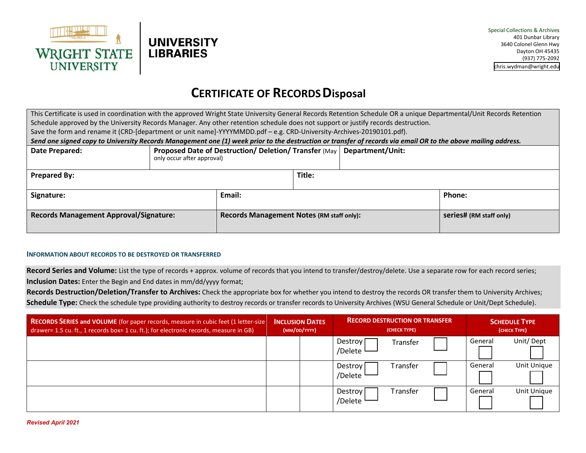



## **CERTIFICATE OF RECORDSDisposal**

This Certificate is used in coordination with the approved Wright State University General Records Retention Schedule OR a unique Departmental/Unit Records Retention Schedule approved by the University Records Manager. Any other retention schedule does not support or justify records destruction. Save the form and rename it (CRD-[department or unit name]-YYYYMMDD.pdf – e.g. CRD-University-Archives-20190101.pdf). *Send one signed copy to University Records Management one (1) week prior to the destruction or transfer of records via email OR to the above mailing address.* **Date Prepared: Proposed Date of Destruction/ Deletion/ Transfer** (May **Department/Unit:** only occur after approval) **Prepared By: Title: Signature: Email: Phone: Records Management Approval/Signature:** <br>Records Management Notes (RM staff only)<br> **Records Management Notes** (RM staff only)

## **INFORMATION ABOUT RECORDS TO BE DESTROYED OR TRANSFERRED**

**Record Series and Volume:** List the type of records + approx. volume of records that you intend to transfer/destroy/delete. Use a separate row for each record series; **Inclusion Dates:** Enter the Begin and End dates in mm/dd/yyyy format;

**Records Destruction/Deletion/Transfer to Archives:** Check the appropriate box for whether you intend to destroy the records OR transfer them to University Archives; **Schedule Type:** Check the schedule type providing authority to destroy records or transfer records to University Archives (WSU General Schedule or Unit/Dept Schedule).

| <b>RECORDS SERIES and VOLUME</b> (for paper records, measure in cubic feet (1 letter-size)<br>drawer= 1.5 cu. ft., 1 records box= 1 cu. ft.); for electronic records, measure in GB) | <b>INCLUSION DATES</b><br>(MM/DD/YYYY) |  | <b>RECORD DESTRUCTION OR TRANSFER</b><br>(CHECK TYPE) |          |  | <b>SCHEDULE TYPE</b><br>(CHECK TYPE) |             |
|--------------------------------------------------------------------------------------------------------------------------------------------------------------------------------------|----------------------------------------|--|-------------------------------------------------------|----------|--|--------------------------------------|-------------|
|                                                                                                                                                                                      |                                        |  | Destroy<br>/Delete                                    | Transfer |  | General                              | Unit/Dept   |
|                                                                                                                                                                                      |                                        |  | Destroy<br>/Delete                                    | Transfer |  | General                              | Unit Unique |
|                                                                                                                                                                                      |                                        |  | Destroy<br>/Delete                                    | Transfer |  | General                              | Unit Unique |